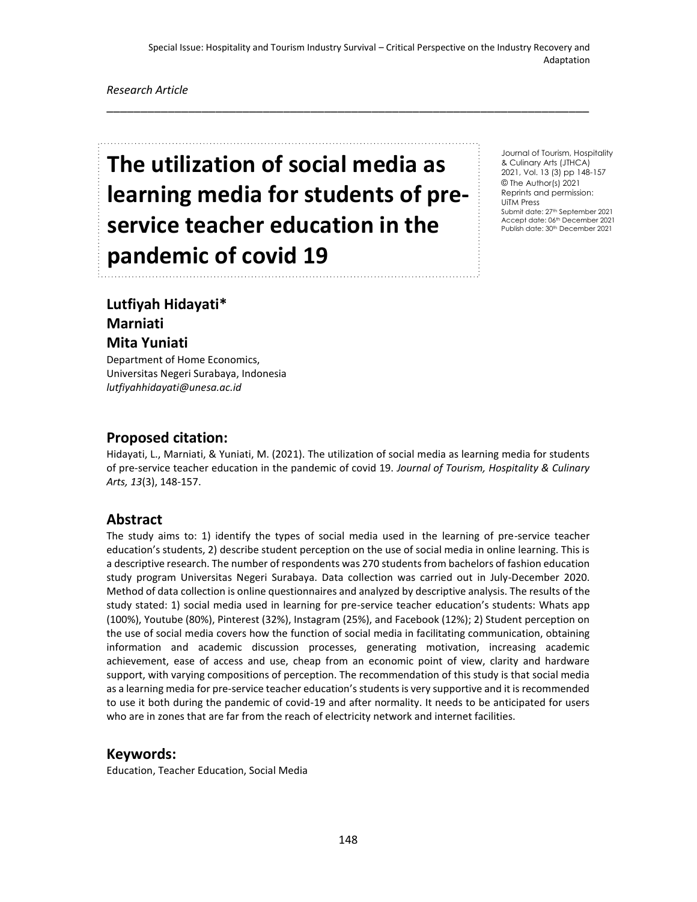\_\_\_\_\_\_\_\_\_\_\_\_\_\_\_\_\_\_\_\_\_\_\_\_\_\_\_\_\_\_\_\_\_\_\_\_\_\_\_\_\_\_\_\_\_\_\_\_\_\_\_\_\_\_\_\_\_\_\_\_\_\_\_\_\_\_\_\_\_\_\_

#### *Research Article*

# **The utilization of social media as learning media for students of preservice teacher education in the pandemic of covid 19**

Journal of Tourism, Hospitality & Culinary Arts (JTHCA) 2021, Vol. 13 (3) pp 148-157 © The Author(s) 2021 Reprints and permission: UiTM Press Submit date: 27th September 2021 Accept date: 06th December 2021 Publish date: 30<sup>th</sup> December 2021

## **Lutfiyah Hidayati\* Marniati Mita Yuniati**

Department of Home Economics, Universitas Negeri Surabaya, Indonesia *lutfiyahhidayati@unesa.ac.id*

#### **Proposed citation:**

Hidayati, L., Marniati, & Yuniati, M. (2021). The utilization of social media as learning media for students of pre-service teacher education in the pandemic of covid 19. *Journal of Tourism, Hospitality & Culinary Arts, 13*(3), 148-157.

#### **Abstract**

The study aims to: 1) identify the types of social media used in the learning of pre-service teacher education's students, 2) describe student perception on the use of social media in online learning. This is a descriptive research. The number of respondents was 270 students from bachelors of fashion education study program Universitas Negeri Surabaya. Data collection was carried out in July-December 2020. Method of data collection is online questionnaires and analyzed by descriptive analysis. The results of the study stated: 1) social media used in learning for pre-service teacher education's students: Whats app (100%), Youtube (80%), Pinterest (32%), Instagram (25%), and Facebook (12%); 2) Student perception on the use of social media covers how the function of social media in facilitating communication, obtaining information and academic discussion processes, generating motivation, increasing academic achievement, ease of access and use, cheap from an economic point of view, clarity and hardware support, with varying compositions of perception. The recommendation of this study is that social media as a learning media for pre-service teacher education's students is very supportive and it is recommended to use it both during the pandemic of covid-19 and after normality. It needs to be anticipated for users who are in zones that are far from the reach of electricity network and internet facilities.

#### **Keywords:**

Education, Teacher Education, Social Media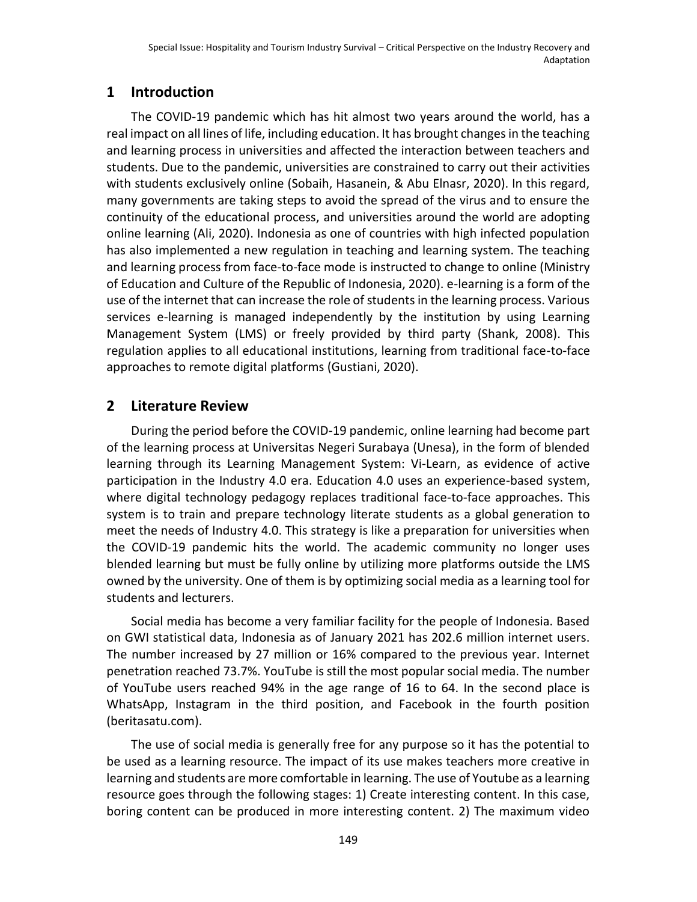# **1 Introduction**

The COVID-19 pandemic which has hit almost two years around the world, has a real impact on all lines of life, including education. It has brought changes in the teaching and learning process in universities and affected the interaction between teachers and students. Due to the pandemic, universities are constrained to carry out their activities with students exclusively online (Sobaih, Hasanein, & Abu Elnasr, 2020). In this regard, many governments are taking steps to avoid the spread of the virus and to ensure the continuity of the educational process, and universities around the world are adopting online learning (Ali, 2020). Indonesia as one of countries with high infected population has also implemented a new regulation in teaching and learning system. The teaching and learning process from face-to-face mode is instructed to change to online (Ministry of Education and Culture of the Republic of Indonesia, 2020). e-learning is a form of the use of the internet that can increase the role of students in the learning process. Various services e-learning is managed independently by the institution by using Learning Management System (LMS) or freely provided by third party (Shank, 2008). This regulation applies to all educational institutions, learning from traditional face-to-face approaches to remote digital platforms (Gustiani, 2020).

## **2 Literature Review**

During the period before the COVID-19 pandemic, online learning had become part of the learning process at Universitas Negeri Surabaya (Unesa), in the form of blended learning through its Learning Management System: Vi-Learn, as evidence of active participation in the Industry 4.0 era. Education 4.0 uses an experience-based system, where digital technology pedagogy replaces traditional face-to-face approaches. This system is to train and prepare technology literate students as a global generation to meet the needs of Industry 4.0. This strategy is like a preparation for universities when the COVID-19 pandemic hits the world. The academic community no longer uses blended learning but must be fully online by utilizing more platforms outside the LMS owned by the university. One of them is by optimizing social media as a learning tool for students and lecturers.

Social media has become a very familiar facility for the people of Indonesia. Based on GWI statistical data, Indonesia as of January 2021 has 202.6 million internet users. The number increased by 27 million or 16% compared to the previous year. Internet penetration reached 73.7%. YouTube is still the most popular social media. The number of YouTube users reached 94% in the age range of 16 to 64. In the second place is WhatsApp, Instagram in the third position, and Facebook in the fourth position (beritasatu.com).

The use of social media is generally free for any purpose so it has the potential to be used as a learning resource. The impact of its use makes teachers more creative in learning and students are more comfortable in learning. The use of Youtube as a learning resource goes through the following stages: 1) Create interesting content. In this case, boring content can be produced in more interesting content. 2) The maximum video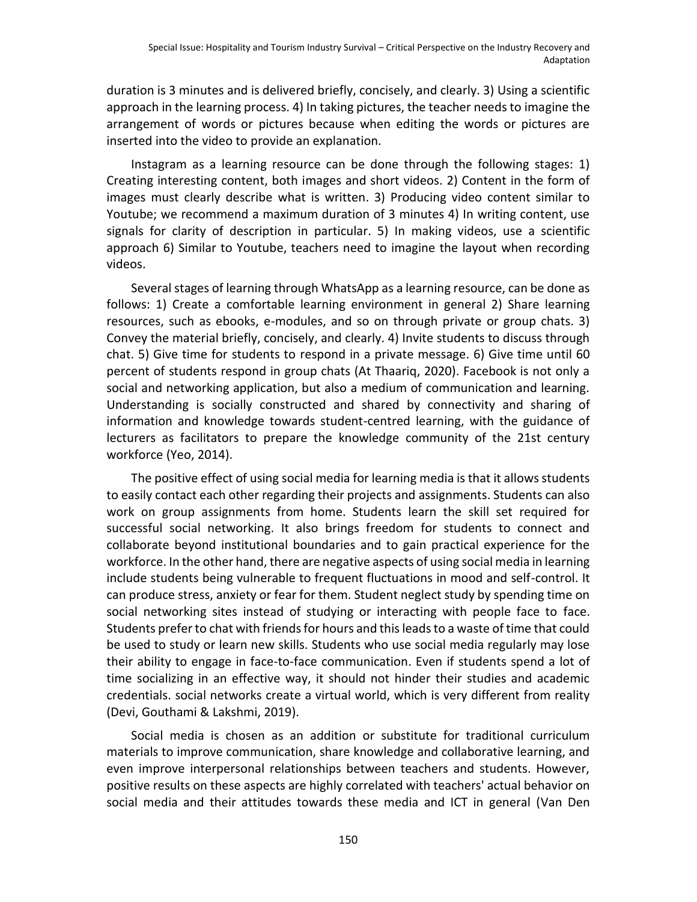duration is 3 minutes and is delivered briefly, concisely, and clearly. 3) Using a scientific approach in the learning process. 4) In taking pictures, the teacher needs to imagine the arrangement of words or pictures because when editing the words or pictures are inserted into the video to provide an explanation.

Instagram as a learning resource can be done through the following stages: 1) Creating interesting content, both images and short videos. 2) Content in the form of images must clearly describe what is written. 3) Producing video content similar to Youtube; we recommend a maximum duration of 3 minutes 4) In writing content, use signals for clarity of description in particular. 5) In making videos, use a scientific approach 6) Similar to Youtube, teachers need to imagine the layout when recording videos.

Several stages of learning through WhatsApp as a learning resource, can be done as follows: 1) Create a comfortable learning environment in general 2) Share learning resources, such as ebooks, e-modules, and so on through private or group chats. 3) Convey the material briefly, concisely, and clearly. 4) Invite students to discuss through chat. 5) Give time for students to respond in a private message. 6) Give time until 60 percent of students respond in group chats (At Thaariq, 2020). Facebook is not only a social and networking application, but also a medium of communication and learning. Understanding is socially constructed and shared by connectivity and sharing of information and knowledge towards student-centred learning, with the guidance of lecturers as facilitators to prepare the knowledge community of the 21st century workforce (Yeo, 2014).

The positive effect of using social media for learning media is that it allows students to easily contact each other regarding their projects and assignments. Students can also work on group assignments from home. Students learn the skill set required for successful social networking. It also brings freedom for students to connect and collaborate beyond institutional boundaries and to gain practical experience for the workforce. In the other hand, there are negative aspects of using social media in learning include students being vulnerable to frequent fluctuations in mood and self-control. It can produce stress, anxiety or fear for them. Student neglect study by spending time on social networking sites instead of studying or interacting with people face to face. Students prefer to chat with friends for hours and this leads to a waste of time that could be used to study or learn new skills. Students who use social media regularly may lose their ability to engage in face-to-face communication. Even if students spend a lot of time socializing in an effective way, it should not hinder their studies and academic credentials. social networks create a virtual world, which is very different from reality (Devi, Gouthami & Lakshmi, 2019).

Social media is chosen as an addition or substitute for traditional curriculum materials to improve communication, share knowledge and collaborative learning, and even improve interpersonal relationships between teachers and students. However, positive results on these aspects are highly correlated with teachers' actual behavior on social media and their attitudes towards these media and ICT in general [\(Van Den](https://www.tandfonline.com/author/van+den+Beemt%2C+Antoine)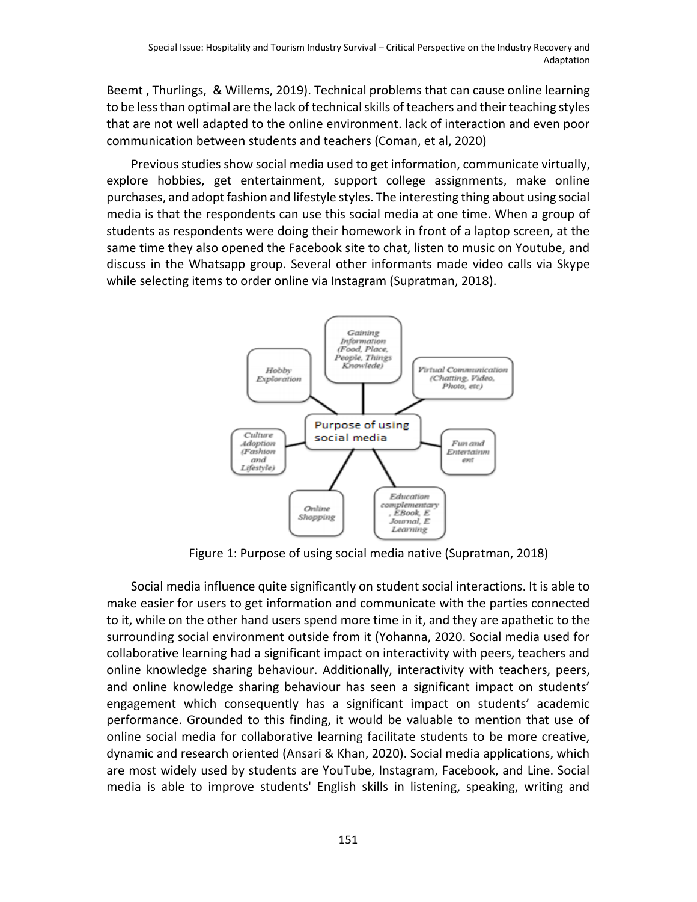[Beemt](https://www.tandfonline.com/author/van+den+Beemt%2C+Antoine) , [Thurlings,](https://www.tandfonline.com/author/Thurlings%2C+Marieke) & [Willems,](https://www.tandfonline.com/author/Willems%2C+Myrthe) 2019). Technical problems that can cause online learning to be less than optimal are the lack of technical skills of teachers and their teaching styles that are not well adapted to the online environment. lack of interaction and even poor communication between students and teachers (Coman, et al, 2020)

Previous studies show social media used to get information, communicate virtually, explore hobbies, get entertainment, support college assignments, make online purchases, and adopt fashion and lifestyle styles. The interesting thing about using social media is that the respondents can use this social media at one time. When a group of students as respondents were doing their homework in front of a laptop screen, at the same time they also opened the Facebook site to chat, listen to music on Youtube, and discuss in the Whatsapp group. Several other informants made video calls via Skype while selecting items to order online via Instagram (Supratman, 2018).



Figure 1: Purpose of using social media native (Supratman, 2018)

Social media influence quite significantly on student social interactions. It is able to make easier for users to get information and communicate with the parties connected to it, while on the other hand users spend more time in it, and they are apathetic to the surrounding social environment outside from it (Yohanna, 2020. Social media used for collaborative learning had a significant impact on interactivity with peers, teachers and online knowledge sharing behaviour. Additionally, interactivity with teachers, peers, and online knowledge sharing behaviour has seen a significant impact on students' engagement which consequently has a significant impact on students' academic performance. Grounded to this finding, it would be valuable to mention that use of online social media for collaborative learning facilitate students to be more creative, dynamic and research oriented (Ansari & Khan, 2020). Social media applications, which are most widely used by students are YouTube, Instagram, Facebook, and Line. Social media is able to improve students' English skills in listening, speaking, writing and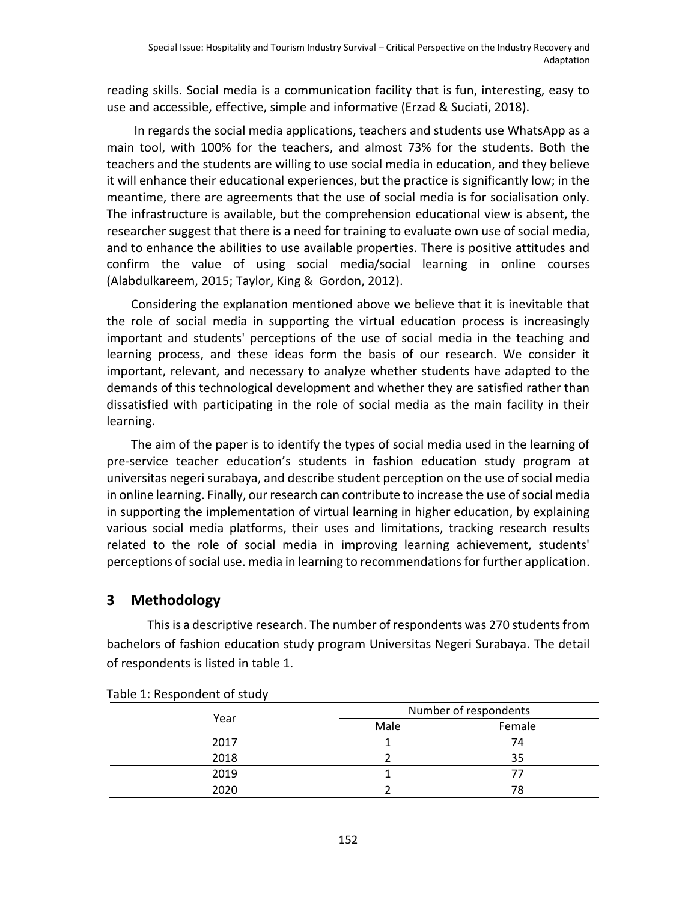reading skills. Social media is a communication facility that is fun, interesting, easy to use and accessible, effective, simple and informative (Erzad & Suciati, 2018).

In regards the social media applications, teachers and students use WhatsApp as a main tool, with 100% for the teachers, and almost 73% for the students. Both the teachers and the students are willing to use social media in education, and they believe it will enhance their educational experiences, but the practice is significantly low; in the meantime, there are agreements that the use of social media is for socialisation only. The infrastructure is available, but the comprehension educational view is absent, the researcher suggest that there is a need for training to evaluate own use of social media, and to enhance the abilities to use available properties. There is positive attitudes and confirm the value of using social media/social learning in online courses (Alabdulkareem, 2015; Taylor, King & Gordon, 2012).

Considering the explanation mentioned above we believe that it is inevitable that the role of social media in supporting the virtual education process is increasingly important and students' perceptions of the use of social media in the teaching and learning process, and these ideas form the basis of our research. We consider it important, relevant, and necessary to analyze whether students have adapted to the demands of this technological development and whether they are satisfied rather than dissatisfied with participating in the role of social media as the main facility in their learning.

The aim of the paper is to identify the types of social media used in the learning of pre-service teacher education's students in fashion education study program at universitas negeri surabaya, and describe student perception on the use of social media in online learning. Finally, our research can contribute to increase the use of social media in supporting the implementation of virtual learning in higher education, by explaining various social media platforms, their uses and limitations, tracking research results related to the role of social media in improving learning achievement, students' perceptions of social use. media in learning to recommendations for further application.

## **3 Methodology**

This is a descriptive research. The number of respondents was 270 students from bachelors of fashion education study program Universitas Negeri Surabaya. The detail of respondents is listed in table 1.

|      | Number of respondents |        |  |
|------|-----------------------|--------|--|
| Year | Male                  | Female |  |
| 2017 |                       | 74     |  |
| 2018 |                       | 35     |  |
| 2019 |                       |        |  |
| 2020 |                       | 78     |  |

Table 1: Respondent of study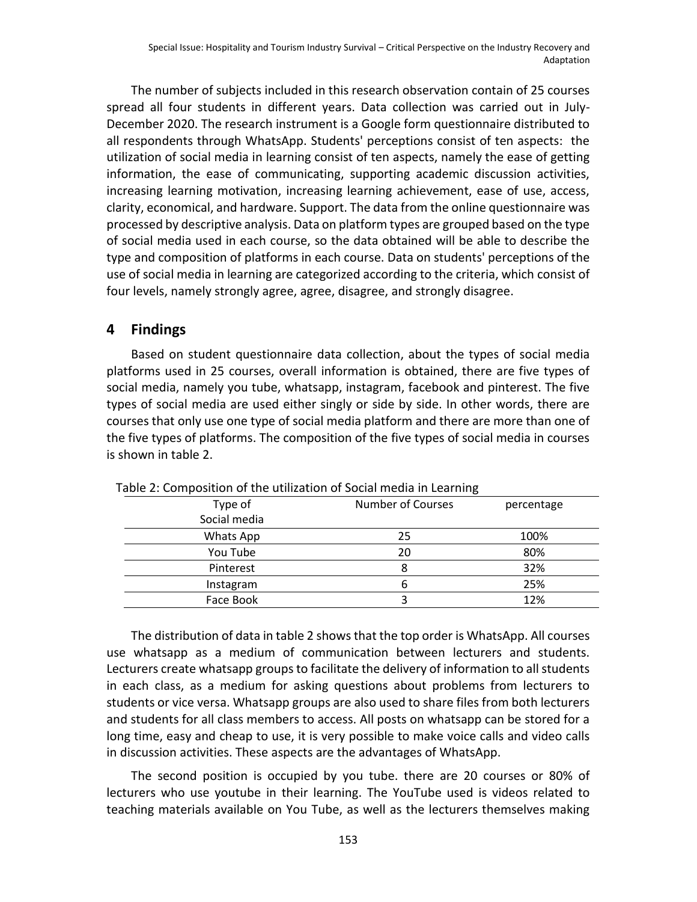The number of subjects included in this research observation contain of 25 courses spread all four students in different years. Data collection was carried out in July-December 2020. The research instrument is a Google form questionnaire distributed to all respondents through WhatsApp. Students' perceptions consist of ten aspects: the utilization of social media in learning consist of ten aspects, namely the ease of getting information, the ease of communicating, supporting academic discussion activities, increasing learning motivation, increasing learning achievement, ease of use, access, clarity, economical, and hardware. Support. The data from the online questionnaire was processed by descriptive analysis. Data on platform types are grouped based on the type of social media used in each course, so the data obtained will be able to describe the type and composition of platforms in each course. Data on students' perceptions of the use of social media in learning are categorized according to the criteria, which consist of four levels, namely strongly agree, agree, disagree, and strongly disagree.

#### **4 Findings**

Based on student questionnaire data collection, about the types of social media platforms used in 25 courses, overall information is obtained, there are five types of social media, namely you tube, whatsapp, instagram, facebook and pinterest. The five types of social media are used either singly or side by side. In other words, there are courses that only use one type of social media platform and there are more than one of the five types of platforms. The composition of the five types of social media in courses is shown in table 2.

| Type of      | <b>Number of Courses</b> | percentage |  |
|--------------|--------------------------|------------|--|
| Social media |                          |            |  |
| Whats App    | 25                       | 100%       |  |
| You Tube     | 20                       | 80%        |  |
| Pinterest    | 8                        | 32%        |  |
| Instagram    | h                        | 25%        |  |
| Face Book    |                          | 12%        |  |

Table 2: Composition of the utilization of Social media in Learning

The distribution of data in table 2 shows that the top order is WhatsApp. All courses use whatsapp as a medium of communication between lecturers and students. Lecturers create whatsapp groups to facilitate the delivery of information to all students in each class, as a medium for asking questions about problems from lecturers to students or vice versa. Whatsapp groups are also used to share files from both lecturers and students for all class members to access. All posts on whatsapp can be stored for a long time, easy and cheap to use, it is very possible to make voice calls and video calls in discussion activities. These aspects are the advantages of WhatsApp.

The second position is occupied by you tube. there are 20 courses or 80% of lecturers who use youtube in their learning. The YouTube used is videos related to teaching materials available on You Tube, as well as the lecturers themselves making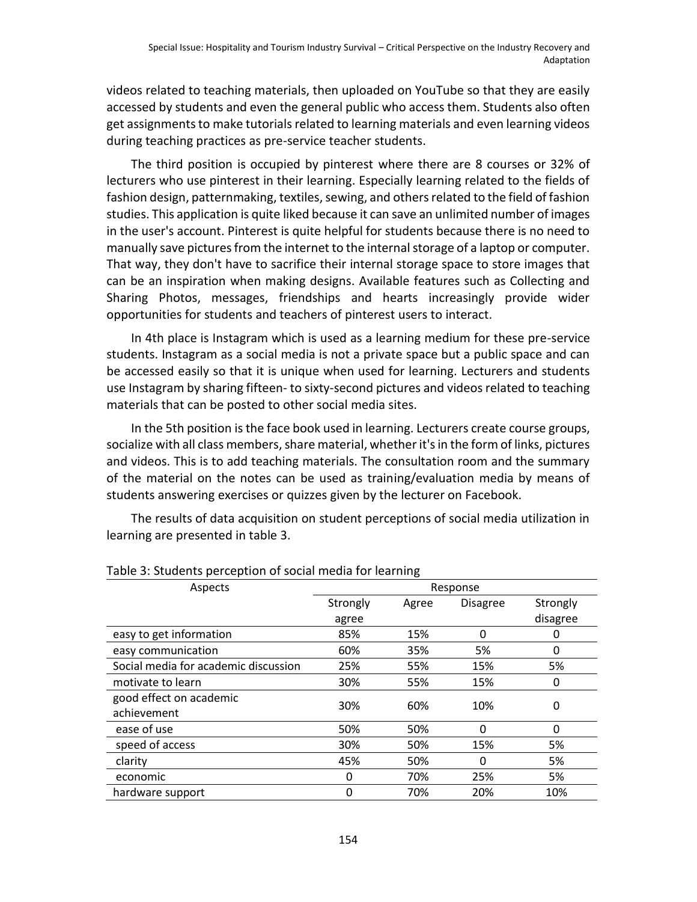videos related to teaching materials, then uploaded on YouTube so that they are easily accessed by students and even the general public who access them. Students also often get assignments to make tutorials related to learning materials and even learning videos during teaching practices as pre-service teacher students.

The third position is occupied by pinterest where there are 8 courses or 32% of lecturers who use pinterest in their learning. Especially learning related to the fields of fashion design, patternmaking, textiles, sewing, and others related to the field of fashion studies. This application is quite liked because it can save an unlimited number of images in the user's account. Pinterest is quite helpful for students because there is no need to manually save pictures from the internet to the internal storage of a laptop or computer. That way, they don't have to sacrifice their internal storage space to store images that can be an inspiration when making designs. Available features such as Collecting and Sharing Photos, messages, friendships and hearts increasingly provide wider opportunities for students and teachers of pinterest users to interact.

In 4th place is Instagram which is used as a learning medium for these pre-service students. Instagram as a social media is not a private space but a public space and can be accessed easily so that it is unique when used for learning. Lecturers and students use Instagram by sharing fifteen- to sixty-second pictures and videos related to teaching materials that can be posted to other social media sites.

In the 5th position is the face book used in learning. Lecturers create course groups, socialize with all class members, share material, whether it's in the form of links, pictures and videos. This is to add teaching materials. The consultation room and the summary of the material on the notes can be used as training/evaluation media by means of students answering exercises or quizzes given by the lecturer on Facebook.

The results of data acquisition on student perceptions of social media utilization in learning are presented in table 3.

| Aspects                              | ັ<br>Response |       |                 |          |  |
|--------------------------------------|---------------|-------|-----------------|----------|--|
|                                      | Strongly      | Agree | <b>Disagree</b> | Strongly |  |
|                                      | agree         |       |                 | disagree |  |
| easy to get information              | 85%           | 15%   | 0               | 0        |  |
| easy communication                   | 60%           | 35%   | 5%              | 0        |  |
| Social media for academic discussion | 25%           | 55%   | 15%             | 5%       |  |
| motivate to learn                    | 30%           | 55%   | 15%             | 0        |  |
| good effect on academic              | 30%           | 60%   | 10%             | 0        |  |
| achievement                          |               |       |                 |          |  |
| ease of use                          | 50%           | 50%   | 0               | 0        |  |
| speed of access                      | 30%           | 50%   | 15%             | 5%       |  |
| clarity                              | 45%           | 50%   | 0               | 5%       |  |
| economic                             | 0             | 70%   | 25%             | 5%       |  |
| hardware support                     | 0             | 70%   | 20%             | 10%      |  |

Table 3: Students perception of social media for learning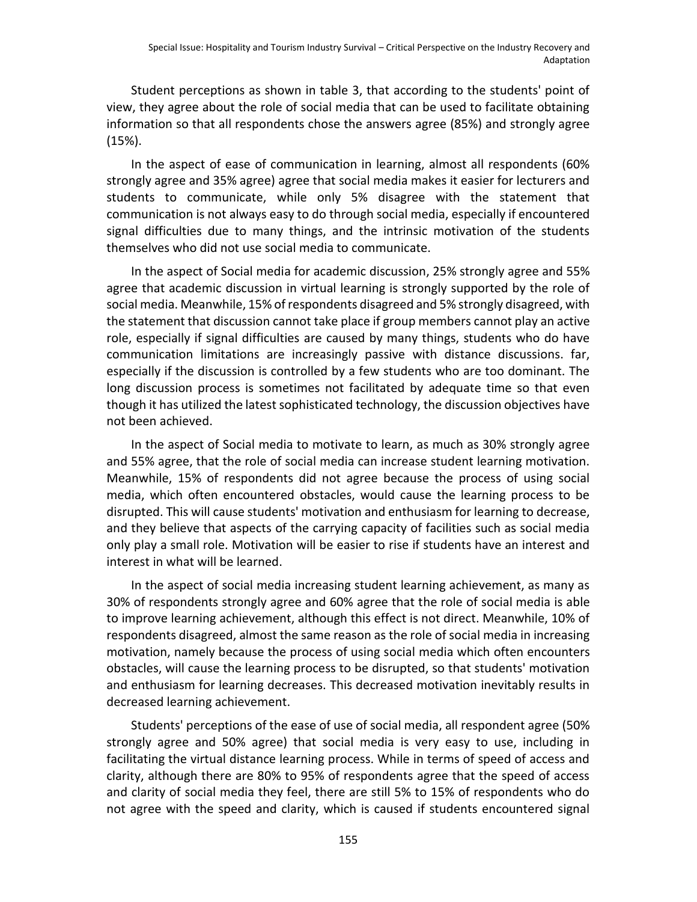Student perceptions as shown in table 3, that according to the students' point of view, they agree about the role of social media that can be used to facilitate obtaining information so that all respondents chose the answers agree (85%) and strongly agree (15%).

In the aspect of ease of communication in learning, almost all respondents (60% strongly agree and 35% agree) agree that social media makes it easier for lecturers and students to communicate, while only 5% disagree with the statement that communication is not always easy to do through social media, especially if encountered signal difficulties due to many things, and the intrinsic motivation of the students themselves who did not use social media to communicate.

In the aspect of Social media for academic discussion, 25% strongly agree and 55% agree that academic discussion in virtual learning is strongly supported by the role of social media. Meanwhile, 15% of respondents disagreed and 5% strongly disagreed, with the statement that discussion cannot take place if group members cannot play an active role, especially if signal difficulties are caused by many things, students who do have communication limitations are increasingly passive with distance discussions. far, especially if the discussion is controlled by a few students who are too dominant. The long discussion process is sometimes not facilitated by adequate time so that even though it has utilized the latest sophisticated technology, the discussion objectives have not been achieved.

In the aspect of Social media to motivate to learn, as much as 30% strongly agree and 55% agree, that the role of social media can increase student learning motivation. Meanwhile, 15% of respondents did not agree because the process of using social media, which often encountered obstacles, would cause the learning process to be disrupted. This will cause students' motivation and enthusiasm for learning to decrease, and they believe that aspects of the carrying capacity of facilities such as social media only play a small role. Motivation will be easier to rise if students have an interest and interest in what will be learned.

In the aspect of social media increasing student learning achievement, as many as 30% of respondents strongly agree and 60% agree that the role of social media is able to improve learning achievement, although this effect is not direct. Meanwhile, 10% of respondents disagreed, almost the same reason as the role of social media in increasing motivation, namely because the process of using social media which often encounters obstacles, will cause the learning process to be disrupted, so that students' motivation and enthusiasm for learning decreases. This decreased motivation inevitably results in decreased learning achievement.

Students' perceptions of the ease of use of social media, all respondent agree (50% strongly agree and 50% agree) that social media is very easy to use, including in facilitating the virtual distance learning process. While in terms of speed of access and clarity, although there are 80% to 95% of respondents agree that the speed of access and clarity of social media they feel, there are still 5% to 15% of respondents who do not agree with the speed and clarity, which is caused if students encountered signal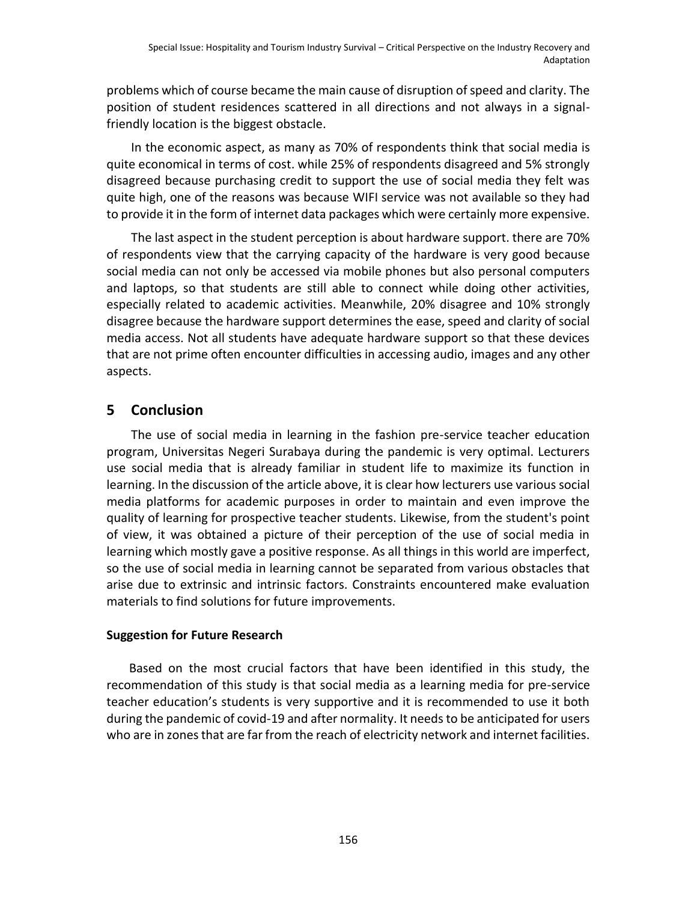problems which of course became the main cause of disruption of speed and clarity. The position of student residences scattered in all directions and not always in a signalfriendly location is the biggest obstacle.

In the economic aspect, as many as 70% of respondents think that social media is quite economical in terms of cost. while 25% of respondents disagreed and 5% strongly disagreed because purchasing credit to support the use of social media they felt was quite high, one of the reasons was because WIFI service was not available so they had to provide it in the form of internet data packages which were certainly more expensive.

The last aspect in the student perception is about hardware support. there are 70% of respondents view that the carrying capacity of the hardware is very good because social media can not only be accessed via mobile phones but also personal computers and laptops, so that students are still able to connect while doing other activities, especially related to academic activities. Meanwhile, 20% disagree and 10% strongly disagree because the hardware support determines the ease, speed and clarity of social media access. Not all students have adequate hardware support so that these devices that are not prime often encounter difficulties in accessing audio, images and any other aspects.

## **5 Conclusion**

The use of social media in learning in the fashion pre-service teacher education program, Universitas Negeri Surabaya during the pandemic is very optimal. Lecturers use social media that is already familiar in student life to maximize its function in learning. In the discussion of the article above, it is clear how lecturers use various social media platforms for academic purposes in order to maintain and even improve the quality of learning for prospective teacher students. Likewise, from the student's point of view, it was obtained a picture of their perception of the use of social media in learning which mostly gave a positive response. As all things in this world are imperfect, so the use of social media in learning cannot be separated from various obstacles that arise due to extrinsic and intrinsic factors. Constraints encountered make evaluation materials to find solutions for future improvements.

#### **Suggestion for Future Research**

Based on the most crucial factors that have been identified in this study, the recommendation of this study is that social media as a learning media for pre-service teacher education's students is very supportive and it is recommended to use it both during the pandemic of covid-19 and after normality. It needs to be anticipated for users who are in zones that are far from the reach of electricity network and internet facilities.